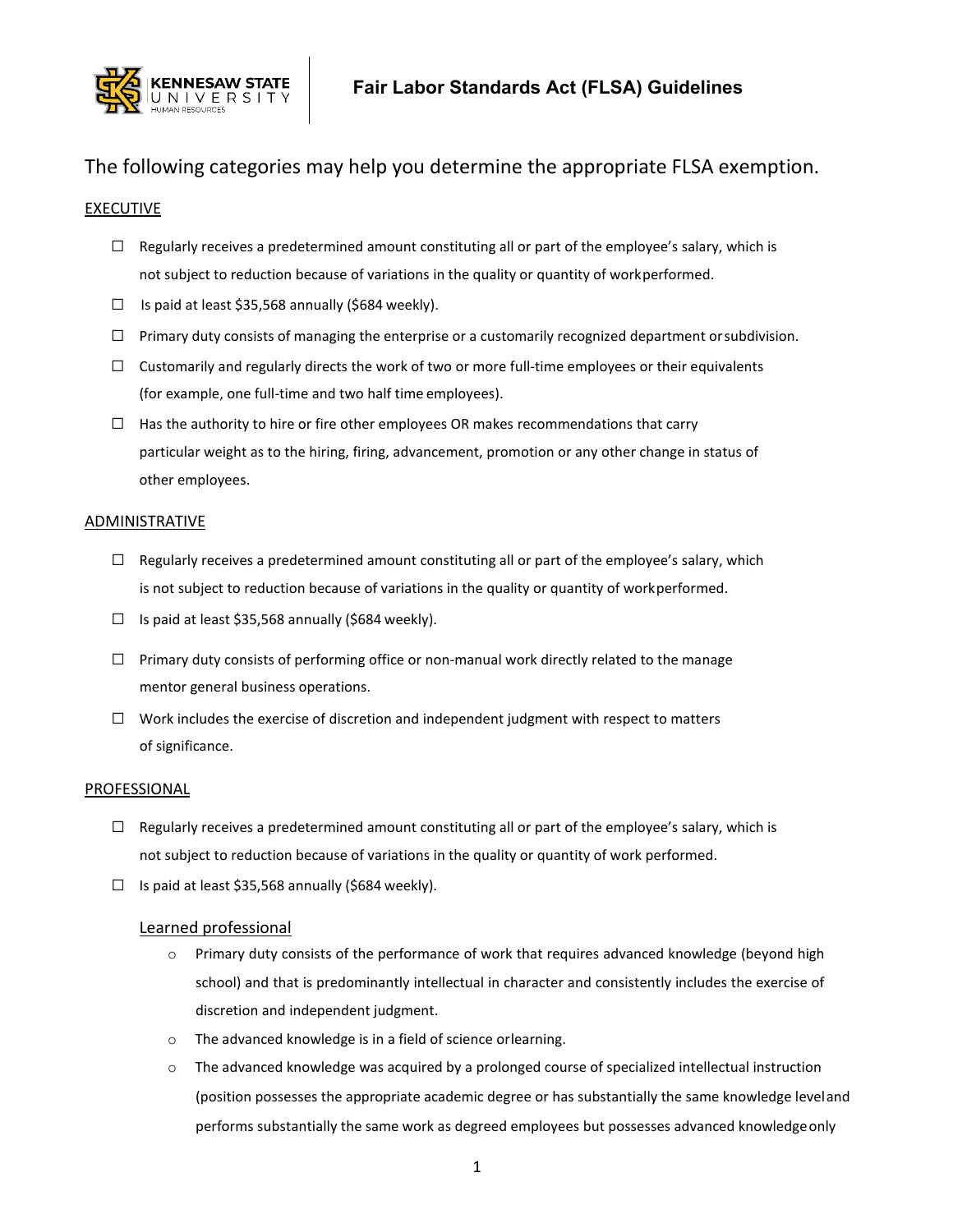

# The following categories may help you determine the appropriate FLSA exemption.

## **EXECUTIVE**

- $\Box$  Regularly receives a predetermined amount constituting all or part of the employee's salary, which is not subject to reduction because of variations in the quality or quantity of workperformed.
- ☐ Is paid at least \$35,568 annually (\$684 weekly).
- $\Box$  Primary duty consists of managing the enterprise or a customarily recognized department or subdivision.
- $\Box$  Customarily and regularly directs the work of two or more full-time employees or their equivalents (for example, one full-time and two half time employees).
- $\Box$  Has the authority to hire or fire other employees OR makes recommendations that carry particular weight as to the hiring, firing, advancement, promotion or any other change in status of other employees.

#### **ADMINISTRATIVE**

- $\Box$  Regularly receives a predetermined amount constituting all or part of the employee's salary, which is not subject to reduction because of variations in the quality or quantity of workperformed.
- $\Box$  Is paid at least \$35,568 annually (\$684 weekly).
- $\Box$  Primary duty consists of performing office or non-manual work directly related to the manage mentor general business operations.
- $\Box$  Work includes the exercise of discretion and independent judgment with respect to matters of significance.

#### PROFESSIONAL

- $\Box$  Regularly receives a predetermined amount constituting all or part of the employee's salary, which is not subject to reduction because of variations in the quality or quantity of work performed.
- $\Box$  Is paid at least \$35,568 annually (\$684 weekly).

#### Learned professional

- o Primary duty consists of the performance of work that requires advanced knowledge (beyond high school) and that is predominantly intellectual in character and consistently includes the exercise of discretion and independent judgment.
- o The advanced knowledge is in a field of science orlearning.
- $\circ$  The advanced knowledge was acquired by a prolonged course of specialized intellectual instruction (position possesses the appropriate academic degree or has substantially the same knowledge leveland performs substantially the same work as degreed employees but possesses advanced knowledgeonly